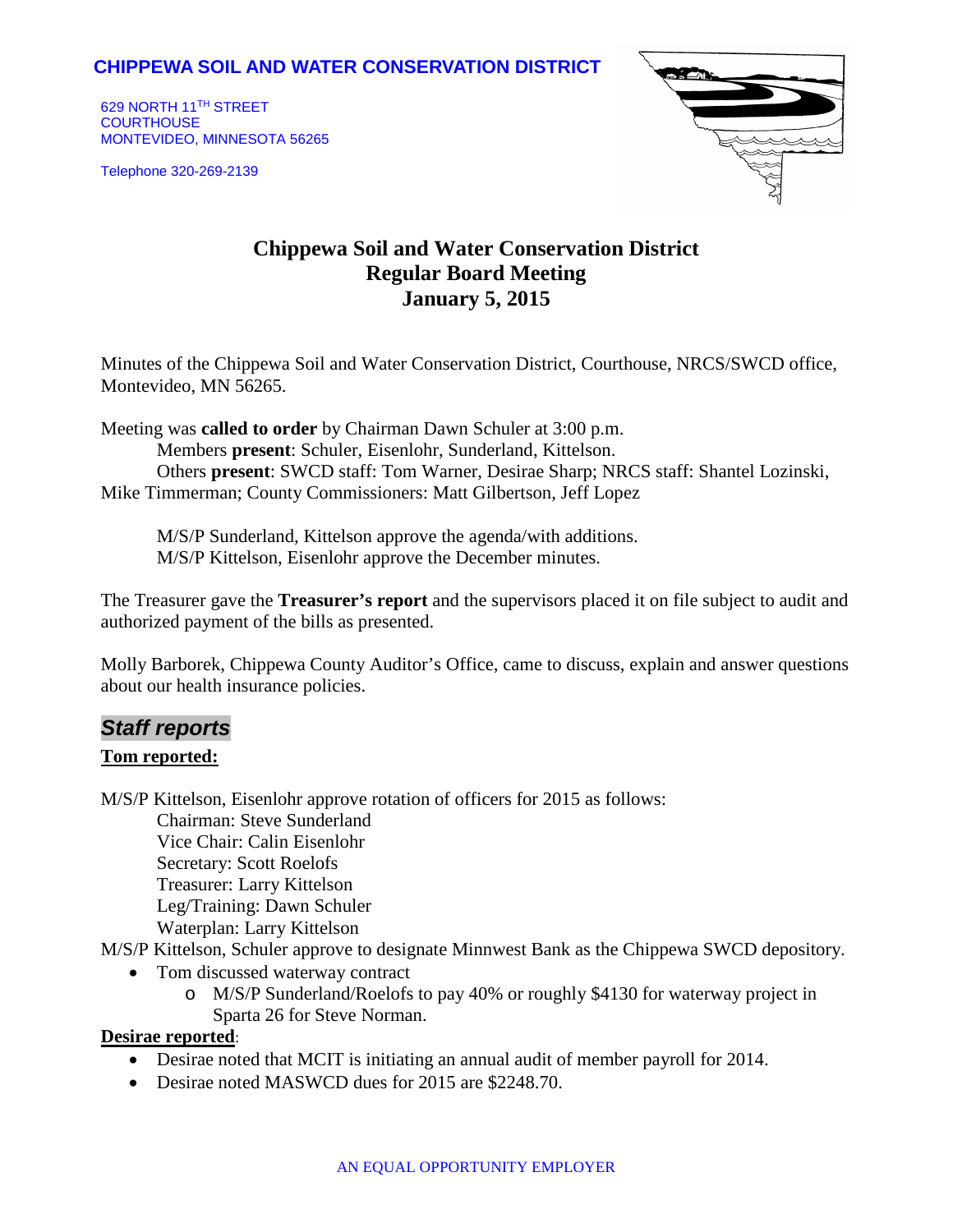### **CHIPPEWA SOIL AND WATER CONSERVATION DISTRICT**

629 NORTH 11TH STREET **COURTHOUSE** MONTEVIDEO, MINNESOTA 56265

Telephone 320-269-2139



# **Chippewa Soil and Water Conservation District Regular Board Meeting January 5, 2015**

Minutes of the Chippewa Soil and Water Conservation District, Courthouse, NRCS/SWCD office, Montevideo, MN 56265.

Meeting was **called to order** by Chairman Dawn Schuler at 3:00 p.m. Members **present**: Schuler, Eisenlohr, Sunderland, Kittelson. Others **present**: SWCD staff: Tom Warner, Desirae Sharp; NRCS staff: Shantel Lozinski, Mike Timmerman; County Commissioners: Matt Gilbertson, Jeff Lopez

M/S/P Sunderland, Kittelson approve the agenda/with additions. M/S/P Kittelson, Eisenlohr approve the December minutes.

The Treasurer gave the **Treasurer's report** and the supervisors placed it on file subject to audit and authorized payment of the bills as presented.

Molly Barborek, Chippewa County Auditor's Office, came to discuss, explain and answer questions about our health insurance policies.

## *Staff reports*

#### **Tom reported:**

M/S/P Kittelson, Eisenlohr approve rotation of officers for 2015 as follows:

Chairman: Steve Sunderland Vice Chair: Calin Eisenlohr Secretary: Scott Roelofs Treasurer: Larry Kittelson Leg/Training: Dawn Schuler Waterplan: Larry Kittelson

M/S/P Kittelson, Schuler approve to designate Minnwest Bank as the Chippewa SWCD depository.

- Tom discussed waterway contract
	- o M/S/P Sunderland/Roelofs to pay 40% or roughly \$4130 for waterway project in Sparta 26 for Steve Norman.

#### **Desirae reported**:

- Desirae noted that MCIT is initiating an annual audit of member payroll for 2014.
- Desirae noted MASWCD dues for 2015 are \$2248.70.